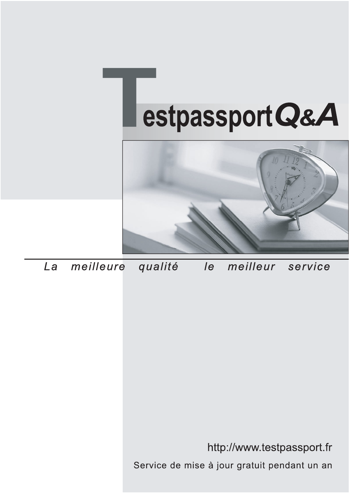



meilleure La qualité  $\overline{e}$ meilleur service

http://www.testpassport.fr

Service de mise à jour gratuit pendant un an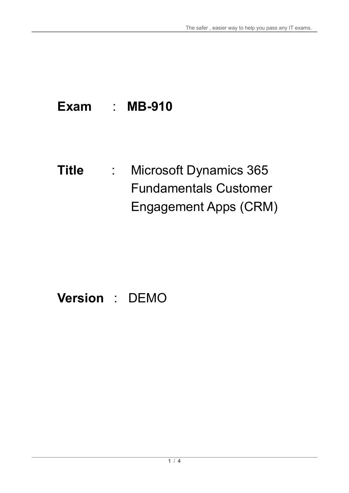# **Exam** : **MB-910**

**Title** : Microsoft Dynamics 365 Fundamentals Customer Engagement Apps (CRM)

# **Version** : DEMO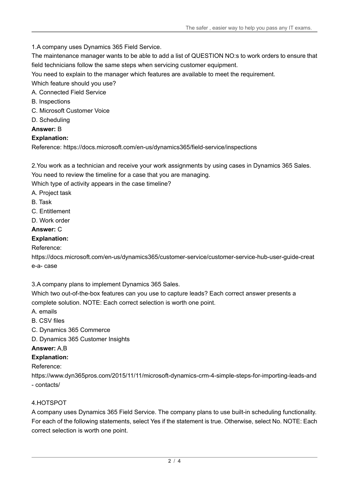1.A company uses Dynamics 365 Field Service.

The maintenance manager wants to be able to add a list of QUESTION NO:s to work orders to ensure that field technicians follow the same steps when servicing customer equipment.

You need to explain to the manager which features are available to meet the requirement.

Which feature should you use?

A. Connected Field Service

- B. Inspections
- C. Microsoft Customer Voice
- D. Scheduling

#### **Answer:** B

#### **Explanation:**

Reference: https://docs.microsoft.com/en-us/dynamics365/field-service/inspections

2.You work as a technician and receive your work assignments by using cases in Dynamics 365 Sales. You need to review the timeline for a case that you are managing.

Which type of activity appears in the case timeline?

- A. Project task
- B. Task
- C. Entitlement
- D. Work order

#### **Answer:** C

#### **Explanation:**

Reference:

https://docs.microsoft.com/en-us/dynamics365/customer-service/customer-service-hub-user-guide-creat e-a- case

3.A company plans to implement Dynamics 365 Sales.

Which two out-of-the-box features can you use to capture leads? Each correct answer presents a complete solution. NOTE: Each correct selection is worth one point.

- A. emails
- B. CSV files
- C. Dynamics 365 Commerce

D. Dynamics 365 Customer Insights

#### **Answer:** A,B

### **Explanation:**

#### Reference:

https://www.dyn365pros.com/2015/11/11/microsoft-dynamics-crm-4-simple-steps-for-importing-leads-and - contacts/

#### 4.HOTSPOT

A company uses Dynamics 365 Field Service. The company plans to use built-in scheduling functionality. For each of the following statements, select Yes if the statement is true. Otherwise, select No. NOTE: Each correct selection is worth one point.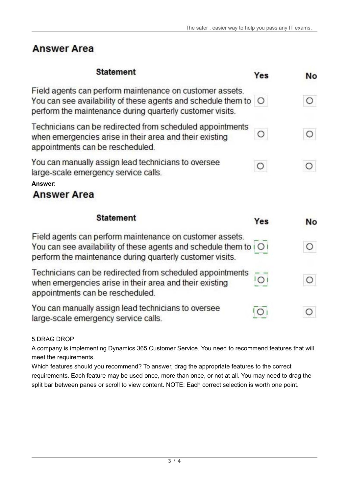### **Answer Area**

| <b>Statement</b>                                                                                                                                                                                         | Yes            | No        |
|----------------------------------------------------------------------------------------------------------------------------------------------------------------------------------------------------------|----------------|-----------|
| Field agents can perform maintenance on customer assets.<br>You can see availability of these agents and schedule them to O<br>perform the maintenance during quarterly customer visits.                 |                | O         |
| Technicians can be redirected from scheduled appointments<br>when emergencies arise in their area and their existing<br>appointments can be rescheduled.                                                 | О              | O         |
| You can manually assign lead technicians to oversee<br>large-scale emergency service calls.<br>Answer:<br><b>Answer Area</b>                                                                             | $\circ$        | Ο         |
| <b>Statement</b>                                                                                                                                                                                         | Yes            | <b>No</b> |
| Field agents can perform maintenance on customer assets.<br>You can see availability of these agents and schedule them to $\vert$ O $\vert$<br>perform the maintenance during quarterly customer visits. |                | О         |
| Technicians can be redirected from scheduled appointments<br>when emergencies arise in their area and their existing<br>appointments can be rescheduled.                                                 | O <sub>1</sub> | O         |
| You can manually assign lead technicians to oversee<br>large-scale emergency service calls.                                                                                                              | $\circ$        | O         |

5.DRAG DROP

A company is implementing Dynamics 365 Customer Service. You need to recommend features that will meet the requirements.

Which features should you recommend? To answer, drag the appropriate features to the correct requirements. Each feature may be used once, more than once, or not at all. You may need to drag the split bar between panes or scroll to view content. NOTE: Each correct selection is worth one point.